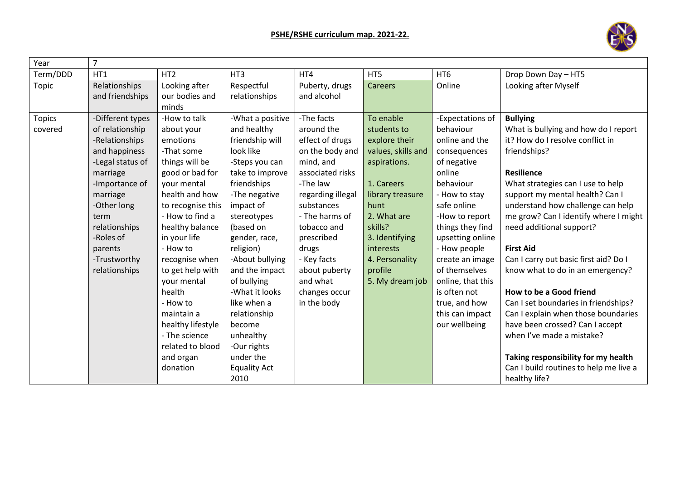

| Year          | $\overline{7}$   |                   |                     |                   |                    |                   |                                        |
|---------------|------------------|-------------------|---------------------|-------------------|--------------------|-------------------|----------------------------------------|
| Term/DDD      | HT1              | HT <sub>2</sub>   | HT <sub>3</sub>     | HT4               | HT5                | HT6               | Drop Down Day - HT5                    |
| Topic         | Relationships    | Looking after     | Respectful          | Puberty, drugs    | <b>Careers</b>     | Online            | Looking after Myself                   |
|               | and friendships  | our bodies and    | relationships       | and alcohol       |                    |                   |                                        |
|               |                  | minds             |                     |                   |                    |                   |                                        |
| <b>Topics</b> | -Different types | -How to talk      | -What a positive    | -The facts        | To enable          | -Expectations of  | <b>Bullying</b>                        |
| covered       | of relationship  | about your        | and healthy         | around the        | students to        | behaviour         | What is bullying and how do I report   |
|               | -Relationships   | emotions          | friendship will     | effect of drugs   | explore their      | online and the    | it? How do I resolve conflict in       |
|               | and happiness    | -That some        | look like           | on the body and   | values, skills and | consequences      | friendships?                           |
|               | -Legal status of | things will be    | -Steps you can      | mind, and         | aspirations.       | of negative       |                                        |
|               | marriage         | good or bad for   | take to improve     | associated risks  |                    | online            | <b>Resilience</b>                      |
|               | -Importance of   | your mental       | friendships         | -The law          | 1. Careers         | behaviour         | What strategies can I use to help      |
|               | marriage         | health and how    | -The negative       | regarding illegal | library treasure   | - How to stay     | support my mental health? Can I        |
|               | -Other long      | to recognise this | impact of           | substances        | hunt               | safe online       | understand how challenge can help      |
|               | term             | - How to find a   | stereotypes         | - The harms of    | 2. What are        | -How to report    | me grow? Can I identify where I might  |
|               | relationships    | healthy balance   | (based on           | tobacco and       | skills?            | things they find  | need additional support?               |
|               | -Roles of        | in your life      | gender, race,       | prescribed        | 3. Identifying     | upsetting online  |                                        |
|               | parents          | - How to          | religion)           | drugs             | interests          | - How people      | <b>First Aid</b>                       |
|               | -Trustworthy     | recognise when    | -About bullying     | - Key facts       | 4. Personality     | create an image   | Can I carry out basic first aid? Do I  |
|               | relationships    | to get help with  | and the impact      | about puberty     | profile            | of themselves     | know what to do in an emergency?       |
|               |                  | your mental       | of bullying         | and what          | 5. My dream job    | online, that this |                                        |
|               |                  | health            | -What it looks      | changes occur     |                    | is often not      | How to be a Good friend                |
|               |                  | - How to          | like when a         | in the body       |                    | true, and how     | Can I set boundaries in friendships?   |
|               |                  | maintain a        | relationship        |                   |                    | this can impact   | Can I explain when those boundaries    |
|               |                  | healthy lifestyle | become              |                   |                    | our wellbeing     | have been crossed? Can I accept        |
|               |                  | - The science     | unhealthy           |                   |                    |                   | when I've made a mistake?              |
|               |                  | related to blood  | -Our rights         |                   |                    |                   |                                        |
|               |                  | and organ         | under the           |                   |                    |                   | Taking responsibility for my health    |
|               |                  | donation          | <b>Equality Act</b> |                   |                    |                   | Can I build routines to help me live a |
|               |                  |                   | 2010                |                   |                    |                   | healthy life?                          |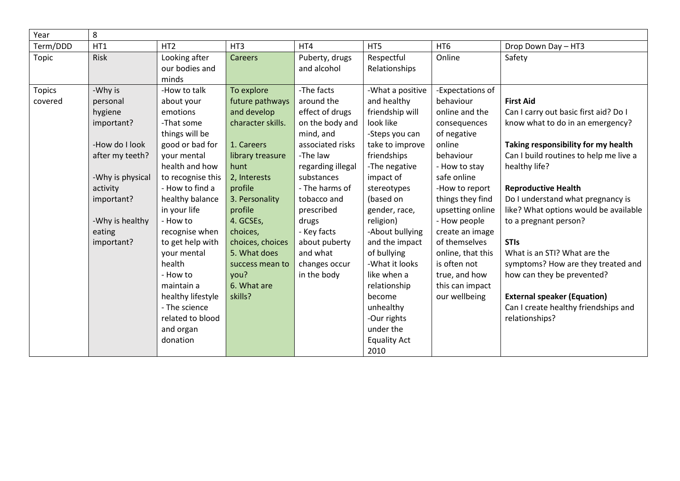| Year          | 8                |                   |                   |                   |                     |                   |                                        |  |
|---------------|------------------|-------------------|-------------------|-------------------|---------------------|-------------------|----------------------------------------|--|
| Term/DDD      | HT1              | HT <sub>2</sub>   | HT3               | HT4               | HT5                 | HT6               | Drop Down Day - HT3                    |  |
| Topic         | Risk             | Looking after     | <b>Careers</b>    | Puberty, drugs    | Respectful          | Online            | Safety                                 |  |
|               |                  | our bodies and    |                   | and alcohol       | Relationships       |                   |                                        |  |
|               |                  | minds             |                   |                   |                     |                   |                                        |  |
| <b>Topics</b> | -Why is          | -How to talk      | To explore        | -The facts        | -What a positive    | -Expectations of  |                                        |  |
| covered       | personal         | about your        | future pathways   | around the        | and healthy         | behaviour         | <b>First Aid</b>                       |  |
|               | hygiene          | emotions          | and develop       | effect of drugs   | friendship will     | online and the    | Can I carry out basic first aid? Do I  |  |
|               | important?       | -That some        | character skills. | on the body and   | look like           | consequences      | know what to do in an emergency?       |  |
|               |                  | things will be    |                   | mind, and         | -Steps you can      | of negative       |                                        |  |
|               | -How do I look   | good or bad for   | 1. Careers        | associated risks  | take to improve     | online            | Taking responsibility for my health    |  |
|               | after my teeth?  | your mental       | library treasure  | -The law          | friendships         | behaviour         | Can I build routines to help me live a |  |
|               |                  | health and how    | hunt              | regarding illegal | -The negative       | - How to stay     | healthy life?                          |  |
|               | -Why is physical | to recognise this | 2, Interests      | substances        | impact of           | safe online       |                                        |  |
|               | activity         | - How to find a   | profile           | - The harms of    | stereotypes         | -How to report    | <b>Reproductive Health</b>             |  |
|               | important?       | healthy balance   | 3. Personality    | tobacco and       | (based on           | things they find  | Do I understand what pregnancy is      |  |
|               |                  | in your life      | profile           | prescribed        | gender, race,       | upsetting online  | like? What options would be available  |  |
|               | -Why is healthy  | - How to          | 4. GCSEs,         | drugs             | religion)           | - How people      | to a pregnant person?                  |  |
|               | eating           | recognise when    | choices,          | - Key facts       | -About bullying     | create an image   |                                        |  |
|               | important?       | to get help with  | choices, choices  | about puberty     | and the impact      | of themselves     | <b>STIs</b>                            |  |
|               |                  | your mental       | 5. What does      | and what          | of bullying         | online, that this | What is an STI? What are the           |  |
|               |                  | health            | success mean to   | changes occur     | -What it looks      | is often not      | symptoms? How are they treated and     |  |
|               |                  | - How to          | you?              | in the body       | like when a         | true, and how     | how can they be prevented?             |  |
|               |                  | maintain a        | 6. What are       |                   | relationship        | this can impact   |                                        |  |
|               |                  | healthy lifestyle | skills?           |                   | become              | our wellbeing     | <b>External speaker (Equation)</b>     |  |
|               |                  | - The science     |                   |                   | unhealthy           |                   | Can I create healthy friendships and   |  |
|               |                  | related to blood  |                   |                   | -Our rights         |                   | relationships?                         |  |
|               |                  | and organ         |                   |                   | under the           |                   |                                        |  |
|               |                  | donation          |                   |                   | <b>Equality Act</b> |                   |                                        |  |
|               |                  |                   |                   |                   | 2010                |                   |                                        |  |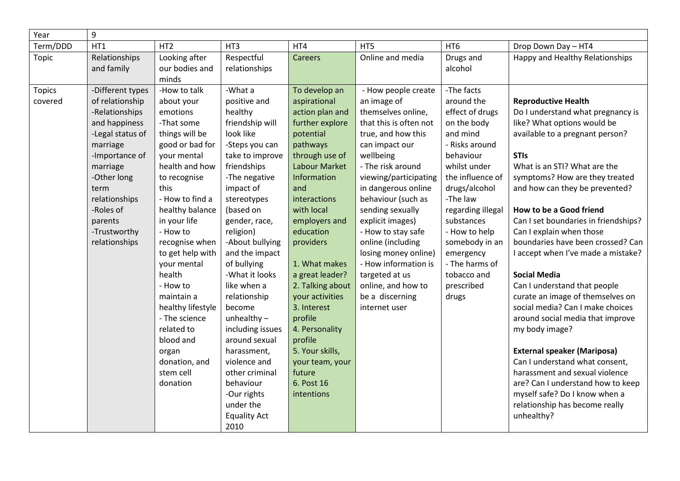| Year          | 9                |                   |                     |                      |                        |                   |                                      |
|---------------|------------------|-------------------|---------------------|----------------------|------------------------|-------------------|--------------------------------------|
| Term/DDD      | HT1              | HT <sub>2</sub>   | HT3                 | HT4                  | HT5                    | HT <sub>6</sub>   | Drop Down Day - HT4                  |
| Topic         | Relationships    | Looking after     | Respectful          | Careers              | Online and media       | Drugs and         | Happy and Healthy Relationships      |
|               | and family       | our bodies and    | relationships       |                      |                        | alcohol           |                                      |
|               |                  | minds             |                     |                      |                        |                   |                                      |
| <b>Topics</b> | -Different types | -How to talk      | -What a             | To develop an        | - How people create    | -The facts        |                                      |
| covered       | of relationship  | about your        | positive and        | aspirational         | an image of            | around the        | <b>Reproductive Health</b>           |
|               | -Relationships   | emotions          | healthy             | action plan and      | themselves online,     | effect of drugs   | Do I understand what pregnancy is    |
|               | and happiness    | -That some        | friendship will     | further explore      | that this is often not | on the body       | like? What options would be          |
|               | -Legal status of | things will be    | look like           | potential            | true, and how this     | and mind          | available to a pregnant person?      |
|               | marriage         | good or bad for   | -Steps you can      | pathways             | can impact our         | - Risks around    |                                      |
|               | -Importance of   | your mental       | take to improve     | through use of       | wellbeing              | behaviour         | <b>STIs</b>                          |
|               | marriage         | health and how    | friendships         | <b>Labour Market</b> | - The risk around      | whilst under      | What is an STI? What are the         |
|               | -Other long      | to recognise      | -The negative       | Information          | viewing/participating  | the influence of  | symptoms? How are they treated       |
|               | term             | this              | impact of           | and                  | in dangerous online    | drugs/alcohol     | and how can they be prevented?       |
|               | relationships    | - How to find a   | stereotypes         | interactions         | behaviour (such as     | -The law          |                                      |
|               | -Roles of        | healthy balance   | (based on           | with local           | sending sexually       | regarding illegal | How to be a Good friend              |
|               | parents          | in your life      | gender, race,       | employers and        | explicit images)       | substances        | Can I set boundaries in friendships? |
|               | -Trustworthy     | - How to          | religion)           | education            | - How to stay safe     | - How to help     | Can I explain when those             |
|               | relationships    | recognise when    | -About bullying     | providers            | online (including      | somebody in an    | boundaries have been crossed? Can    |
|               |                  | to get help with  | and the impact      |                      | losing money online)   | emergency         | I accept when I've made a mistake?   |
|               |                  | your mental       | of bullying         | 1. What makes        | - How information is   | - The harms of    |                                      |
|               |                  | health            | -What it looks      | a great leader?      | targeted at us         | tobacco and       | <b>Social Media</b>                  |
|               |                  | - How to          | like when a         | 2. Talking about     | online, and how to     | prescribed        | Can I understand that people         |
|               |                  | maintain a        | relationship        | your activities      | be a discerning        | drugs             | curate an image of themselves on     |
|               |                  | healthy lifestyle | become              | 3. Interest          | internet user          |                   | social media? Can I make choices     |
|               |                  | - The science     | unhealthy $-$       | profile              |                        |                   | around social media that improve     |
|               |                  | related to        | including issues    | 4. Personality       |                        |                   | my body image?                       |
|               |                  | blood and         | around sexual       | profile              |                        |                   |                                      |
|               |                  | organ             | harassment,         | 5. Your skills,      |                        |                   | <b>External speaker (Mariposa)</b>   |
|               |                  | donation, and     | violence and        | your team, your      |                        |                   | Can I understand what consent,       |
|               |                  | stem cell         | other criminal      | future               |                        |                   | harassment and sexual violence       |
|               |                  | donation          | behaviour           | 6. Post 16           |                        |                   | are? Can I understand how to keep    |
|               |                  |                   | -Our rights         | intentions           |                        |                   | myself safe? Do I know when a        |
|               |                  |                   | under the           |                      |                        |                   | relationship has become really       |
|               |                  |                   | <b>Equality Act</b> |                      |                        |                   | unhealthy?                           |
|               |                  |                   | 2010                |                      |                        |                   |                                      |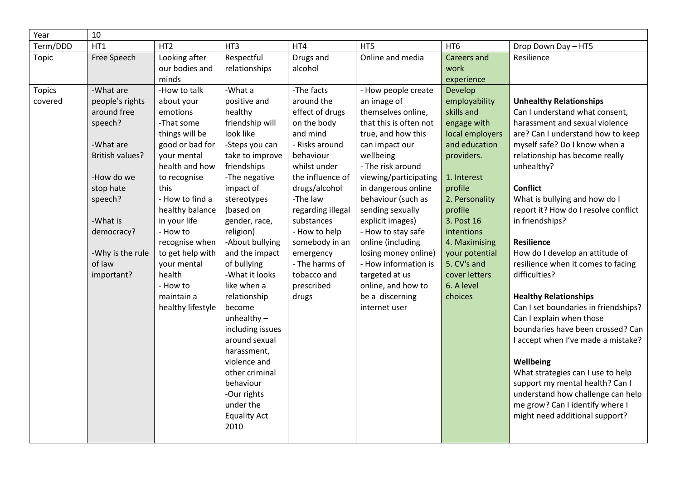| Year                     | 10                                                                                                                                                                                                        |                                                                                                                                                                                                                                                                                                                                    |                                                                                                                                                                                                                                                                                                                                                                                                                                                                                                              |                                                                                                                                                                                                                                                                                                                   |                                                                                                                                                                                                                                                                                                                                                                                                                                                   |                                                                                                                                                                                                                                                                                        |                                                                                                                                                                                                                                                                                                                                                                                                                                                                                                                                                                                                                                                                                                                                                                                                                                      |  |
|--------------------------|-----------------------------------------------------------------------------------------------------------------------------------------------------------------------------------------------------------|------------------------------------------------------------------------------------------------------------------------------------------------------------------------------------------------------------------------------------------------------------------------------------------------------------------------------------|--------------------------------------------------------------------------------------------------------------------------------------------------------------------------------------------------------------------------------------------------------------------------------------------------------------------------------------------------------------------------------------------------------------------------------------------------------------------------------------------------------------|-------------------------------------------------------------------------------------------------------------------------------------------------------------------------------------------------------------------------------------------------------------------------------------------------------------------|---------------------------------------------------------------------------------------------------------------------------------------------------------------------------------------------------------------------------------------------------------------------------------------------------------------------------------------------------------------------------------------------------------------------------------------------------|----------------------------------------------------------------------------------------------------------------------------------------------------------------------------------------------------------------------------------------------------------------------------------------|--------------------------------------------------------------------------------------------------------------------------------------------------------------------------------------------------------------------------------------------------------------------------------------------------------------------------------------------------------------------------------------------------------------------------------------------------------------------------------------------------------------------------------------------------------------------------------------------------------------------------------------------------------------------------------------------------------------------------------------------------------------------------------------------------------------------------------------|--|
| Term/DDD                 | HT1                                                                                                                                                                                                       | HT <sub>2</sub>                                                                                                                                                                                                                                                                                                                    | HT3                                                                                                                                                                                                                                                                                                                                                                                                                                                                                                          | HT4                                                                                                                                                                                                                                                                                                               | HT5                                                                                                                                                                                                                                                                                                                                                                                                                                               | HT <sub>6</sub>                                                                                                                                                                                                                                                                        | Drop Down Day - HT5                                                                                                                                                                                                                                                                                                                                                                                                                                                                                                                                                                                                                                                                                                                                                                                                                  |  |
| Topic                    | Free Speech                                                                                                                                                                                               | Looking after<br>our bodies and<br>minds                                                                                                                                                                                                                                                                                           | Respectful<br>relationships                                                                                                                                                                                                                                                                                                                                                                                                                                                                                  | Drugs and<br>alcohol                                                                                                                                                                                                                                                                                              | Online and media                                                                                                                                                                                                                                                                                                                                                                                                                                  | <b>Careers and</b><br>work<br>experience                                                                                                                                                                                                                                               | Resilience                                                                                                                                                                                                                                                                                                                                                                                                                                                                                                                                                                                                                                                                                                                                                                                                                           |  |
| <b>Topics</b><br>covered | -What are<br>people's rights<br>around free<br>speech?<br>-What are<br><b>British values?</b><br>-How do we<br>stop hate<br>speech?<br>-What is<br>democracy?<br>-Why is the rule<br>of law<br>important? | -How to talk<br>about your<br>emotions<br>-That some<br>things will be<br>good or bad for<br>your mental<br>health and how<br>to recognise<br>this<br>- How to find a<br>healthy balance<br>in your life<br>- How to<br>recognise when<br>to get help with<br>your mental<br>health<br>- How to<br>maintain a<br>healthy lifestyle | -What a<br>positive and<br>healthy<br>friendship will<br>look like<br>-Steps you can<br>take to improve<br>friendships<br>-The negative<br>impact of<br>stereotypes<br>(based on<br>gender, race,<br>religion)<br>-About bullying<br>and the impact<br>of bullying<br>-What it looks<br>like when a<br>relationship<br>become<br>unhealthy $-$<br>including issues<br>around sexual<br>harassment,<br>violence and<br>other criminal<br>behaviour<br>-Our rights<br>under the<br><b>Equality Act</b><br>2010 | -The facts<br>around the<br>effect of drugs<br>on the body<br>and mind<br>- Risks around<br>behaviour<br>whilst under<br>the influence of<br>drugs/alcohol<br>-The law<br>regarding illegal<br>substances<br>- How to help<br>somebody in an<br>emergency<br>- The harms of<br>tobacco and<br>prescribed<br>drugs | - How people create<br>an image of<br>themselves online,<br>that this is often not<br>true, and how this<br>can impact our<br>wellbeing<br>- The risk around<br>viewing/participating<br>in dangerous online<br>behaviour (such as<br>sending sexually<br>explicit images)<br>- How to stay safe<br>online (including<br>losing money online)<br>- How information is<br>targeted at us<br>online, and how to<br>be a discerning<br>internet user | Develop<br>employability<br>skills and<br>engage with<br>local employers<br>and education<br>providers.<br>1. Interest<br>profile<br>2. Personality<br>profile<br>3. Post 16<br>intentions<br>4. Maximising<br>your potential<br>5. CV's and<br>cover letters<br>6. A level<br>choices | <b>Unhealthy Relationships</b><br>Can I understand what consent,<br>harassment and sexual violence<br>are? Can I understand how to keep<br>myself safe? Do I know when a<br>relationship has become really<br>unhealthy?<br><b>Conflict</b><br>What is bullying and how do I<br>report it? How do I resolve conflict<br>in friendships?<br><b>Resilience</b><br>How do I develop an attitude of<br>resilience when it comes to facing<br>difficulties?<br><b>Healthy Relationships</b><br>Can I set boundaries in friendships?<br>Can I explain when those<br>boundaries have been crossed? Can<br>I accept when I've made a mistake?<br>Wellbeing<br>What strategies can I use to help<br>support my mental health? Can I<br>understand how challenge can help<br>me grow? Can I identify where I<br>might need additional support? |  |